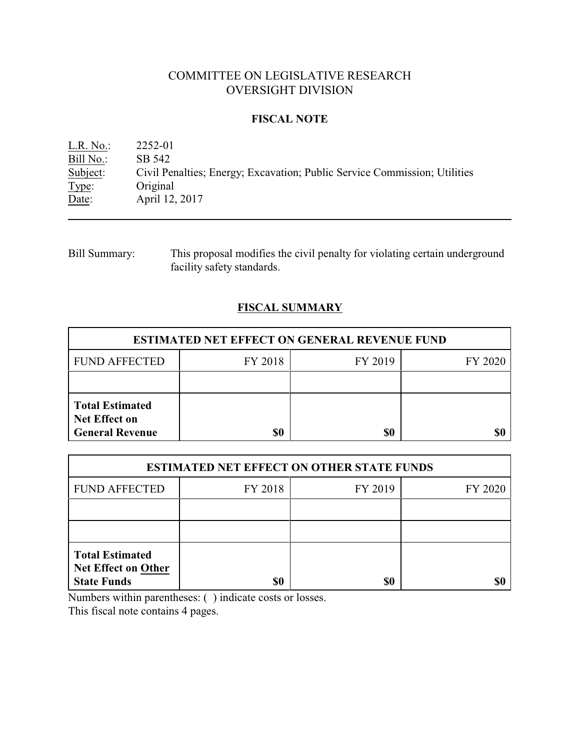# COMMITTEE ON LEGISLATIVE RESEARCH OVERSIGHT DIVISION

### **FISCAL NOTE**

| $L.R. No.$ : | 2252-01                                                                   |
|--------------|---------------------------------------------------------------------------|
| Bill No.:    | SB 542                                                                    |
| Subject:     | Civil Penalties; Energy; Excavation; Public Service Commission; Utilities |
| Type:        | Original                                                                  |
| Date:        | April 12, 2017                                                            |

| Bill Summary: | This proposal modifies the civil penalty for violating certain underground |
|---------------|----------------------------------------------------------------------------|
|               | facility safety standards.                                                 |

## **FISCAL SUMMARY**

| <b>ESTIMATED NET EFFECT ON GENERAL REVENUE FUND</b>                      |         |         |         |  |
|--------------------------------------------------------------------------|---------|---------|---------|--|
| <b>FUND AFFECTED</b>                                                     | FY 2018 | FY 2019 | FY 2020 |  |
|                                                                          |         |         |         |  |
| <b>Total Estimated</b><br><b>Net Effect on</b><br><b>General Revenue</b> | \$0     | \$0     |         |  |

| <b>ESTIMATED NET EFFECT ON OTHER STATE FUNDS</b>                           |         |         |         |  |
|----------------------------------------------------------------------------|---------|---------|---------|--|
| <b>FUND AFFECTED</b>                                                       | FY 2018 | FY 2019 | FY 2020 |  |
|                                                                            |         |         |         |  |
|                                                                            |         |         |         |  |
| <b>Total Estimated</b><br><b>Net Effect on Other</b><br><b>State Funds</b> | \$0     | \$0     |         |  |

Numbers within parentheses: ( ) indicate costs or losses.

This fiscal note contains 4 pages.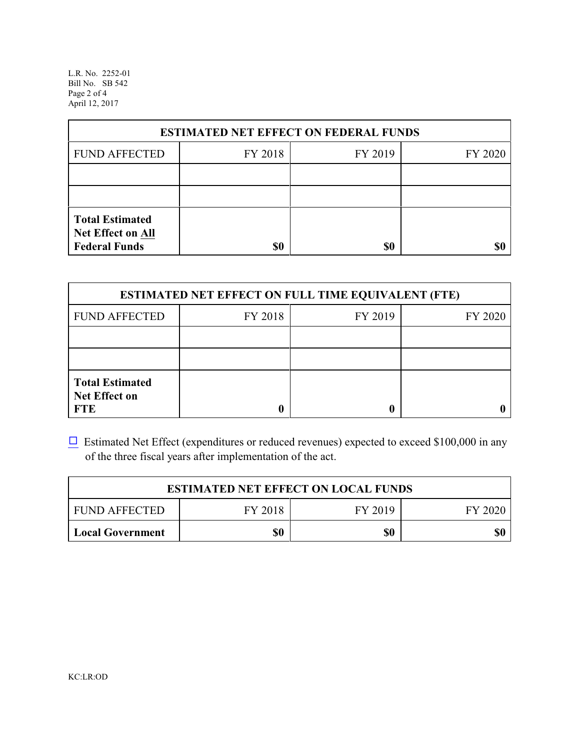L.R. No. 2252-01 Bill No. SB 542 Page 2 of 4 April 12, 2017

| <b>ESTIMATED NET EFFECT ON FEDERAL FUNDS</b>                        |         |         |         |  |
|---------------------------------------------------------------------|---------|---------|---------|--|
| <b>FUND AFFECTED</b>                                                | FY 2018 | FY 2019 | FY 2020 |  |
|                                                                     |         |         |         |  |
|                                                                     |         |         |         |  |
| <b>Total Estimated</b><br>Net Effect on All<br><b>Federal Funds</b> | \$0     | \$0     |         |  |

| <b>ESTIMATED NET EFFECT ON FULL TIME EQUIVALENT (FTE)</b>    |         |         |         |  |
|--------------------------------------------------------------|---------|---------|---------|--|
| <b>FUND AFFECTED</b>                                         | FY 2018 | FY 2019 | FY 2020 |  |
|                                                              |         |         |         |  |
|                                                              |         |         |         |  |
| <b>Total Estimated</b><br><b>Net Effect on</b><br><b>FTE</b> |         |         |         |  |

 $\Box$  Estimated Net Effect (expenditures or reduced revenues) expected to exceed \$100,000 in any of the three fiscal years after implementation of the act.

| <b>ESTIMATED NET EFFECT ON LOCAL FUNDS</b>            |     |     |     |  |
|-------------------------------------------------------|-----|-----|-----|--|
| FY 2018<br><b>FUND AFFECTED</b><br>FY 2019<br>FY 2020 |     |     |     |  |
| <b>Local Government</b>                               | \$0 | \$0 | \$0 |  |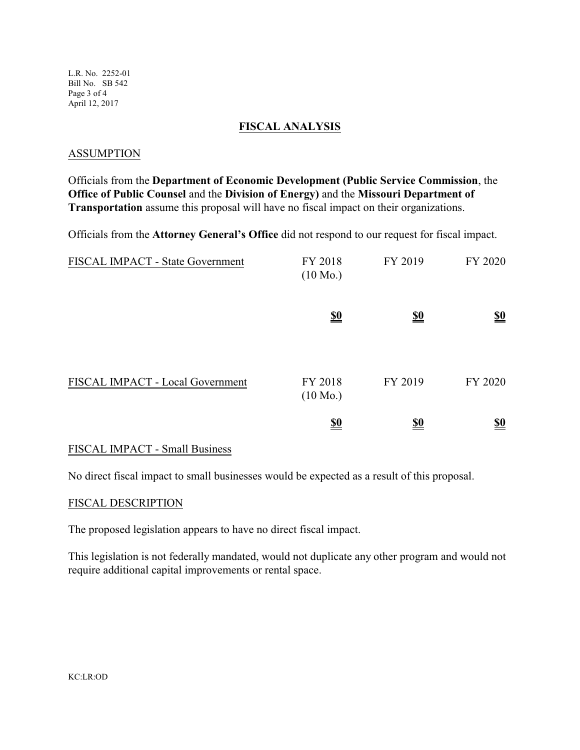L.R. No. 2252-01 Bill No. SB 542 Page 3 of 4 April 12, 2017

#### **FISCAL ANALYSIS**

#### **ASSUMPTION**

Officials from the **Department of Economic Development (Public Service Commission**, the **Office of Public Counsel** and the **Division of Energy)** and the **Missouri Department of Transportation** assume this proposal will have no fiscal impact on their organizations.

Officials from the **Attorney General's Office** did not respond to our request for fiscal impact.

| FISCAL IMPACT - State Government | FY 2018<br>$(10 \text{ Mo.})$ | FY 2019    | FY 2020                       |
|----------------------------------|-------------------------------|------------|-------------------------------|
|                                  | $\underline{\underline{\$0}}$ | <u>\$0</u> | $\underline{\underline{\$0}}$ |
| FISCAL IMPACT - Local Government | FY 2018<br>$(10 \text{ Mo.})$ | FY 2019    | FY 2020                       |
|                                  | <u>\$0</u>                    | <u>\$0</u> | <u>\$0</u>                    |

#### FISCAL IMPACT - Small Business

No direct fiscal impact to small businesses would be expected as a result of this proposal.

#### FISCAL DESCRIPTION

The proposed legislation appears to have no direct fiscal impact.

This legislation is not federally mandated, would not duplicate any other program and would not require additional capital improvements or rental space.